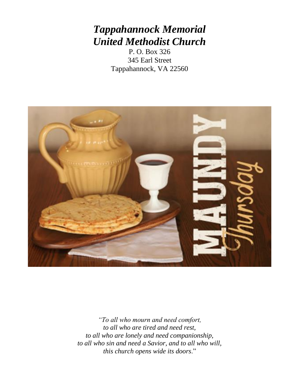# *Tappahannock Memorial United Methodist Church*

P. O. Box 326 345 Earl Street Tappahannock, VA 22560



*"To all who mourn and need comfort, to all who are tired and need rest, to all who are lonely and need companionship, to all who sin and need a Savior, and to all who will, this church opens wide its doors*."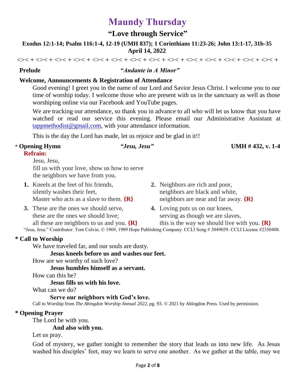# **Maundy Thursday**

# **"Love through Service"**

## **Exodus 12:1-14; Psalm 116:1-4, 12-19 (UMH 837); 1 Corinthians 11:23-26; John 13:1-17, 31b-35 April 14, 2022**

 $<< + << + << + << + << + << + << + << + << + << + << + << + << + << + << + << + << + << + << + < + < +$ 

## **Prelude** *"Andante in A Minor"*

# **Welcome, Announcements & Registration of Attendance**

Good evening! I greet you in the name of our Lord and Savior Jesus Christ. I welcome you to our time of worship today. I welcome those who are present with us in the sanctuary as well as those worshiping online via our Facebook and YouTube pages.

We are tracking our attendance, so thank you in advance to all who will let us know that you have watched or read our service this evening. Please email our Administrative Assistant at [tappmethodist@gmail.com,](about:blank) with your attendance information.

This is the day the Lord has made, let us rejoice and be glad in it!!

# \* **Opening Hymn** *"Jesu, Jesu"* **UMH # 432, v. 1-4**

# **Refrain:**

Jesu, Jesu, fill us with your love, show us how to serve the neighbors we have from you.

- **1.** Kneels at the feet of his friends, silently washes their feet, Master who acts as a slave to them. **{R}**
- **3.** These are the ones we should serve, these are the ones we should love; all these are neighbors to us and you. **{R}**
- **2.** Neighbors are rich and poor, neighbors are black and white, neighbors are near and far away. **{R}**
- **4.** Loving puts us on our knees, serving as though we are slaves, this is the way we should live with you. **{R}**

"Jesu, Jesu." Contributor: Tom Colvin. © 1969, 1989 Hope Publishing Company. CCLI Song # 3049039. CCLI License #2350408.

# **\* Call to Worship**

We have traveled far, and our souls are dusty.

### **Jesus kneels before us and washes our feet.**

How are we worthy of such love?

### **Jesus humbles himself as a servant.**

How can this be?

**Jesus fills us with his love.**

What can we do?

### **Serve our neighbors with God's love.**

Call to Worship from *The Abingdon Worship Annual 2022,* pg. 93. © 2021 by Abingdon Press. Used by permission.

# **\* Opening Prayer**

The Lord be with you.

# **And also with you.**

Let us pray.

God of mystery, we gather tonight to remember the story that leads us into new life. As Jesus washed his disciples' feet, may we learn to serve one another. As we gather at the table, may we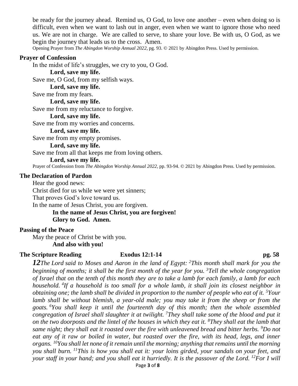be ready for the journey ahead. Remind us, O God, to love one another – even when doing so is difficult, even when we want to lash out in anger, even when we want to ignore those who need us. We are not in charge. We are called to serve, to share your love. Be with us, O God, as we begin the journey that leads us to the cross. Amen.

Opening Prayer from *The Abingdon Worship Annual 2022,* pg. 93. © 2021 by Abingdon Press. Used by permission.

#### **Prayer of Confession**

In the midst of life's struggles, we cry to you, O God.

#### **Lord, save my life.**

Save me, O God, from my selfish ways.

**Lord, save my life.**

Save me from my fears.

### **Lord, save my life.**

Save me from my reluctance to forgive.

#### **Lord, save my life.**

Save me from my worries and concerns.

#### **Lord, save my life.**

Save me from my empty promises.

### **Lord, save my life.**

Save me from all that keeps me from loving others.

# **Lord, save my life.**

Prayer of Confession from *The Abingdon Worship Annual 2022,* pp. 93-94. © 2021 by Abingdon Press. Used by permission.

#### **The Declaration of Pardon**

Hear the good news: Christ died for us while we were yet sinners; That proves God's love toward us. In the name of Jesus Christ, you are forgiven. **In the name of Jesus Christ, you are forgiven!** 

# **Glory to God. Amen.**

#### **Passing of the Peace**

May the peace of Christ be with you. **And also with you!**

### **The Scripture Reading Exodus 12:1-14** pg. 58

*12The Lord said to Moses and Aaron in the land of Egypt: <sup>2</sup>This month shall mark for you the beginning of months; it shall be the first month of the year for you. <sup>3</sup>Tell the whole congregation of Israel that on the tenth of this month they are to take a lamb for each family, a lamb for each household. <sup>4</sup> If a household is too small for a whole lamb, it shall join its closest neighbor in obtaining one; the lamb shall be divided in proportion to the number of people who eat of it. <sup>5</sup>Your lamb shall be without blemish, a year-old male; you may take it from the sheep or from the goats. <sup>6</sup>You shall keep it until the fourteenth day of this month; then the whole assembled congregation of Israel shall slaughter it at twilight. <sup>7</sup>They shall take some of the blood and put it on the two doorposts and the lintel of the houses in which they eat it. <sup>8</sup>They shall eat the lamb that same night; they shall eat it roasted over the fire with unleavened bread and bitter herbs. <sup>9</sup>Do not eat any of it raw or boiled in water, but roasted over the fire, with its head, legs, and inner organs. <sup>10</sup>You shall let none of it remain until the morning; anything that remains until the morning you shall burn. <sup>11</sup>This is how you shall eat it: your loins girded, your sandals on your feet, and your staff in your hand; and you shall eat it hurriedly. It is the passover of the Lord. <sup>12</sup>For I will*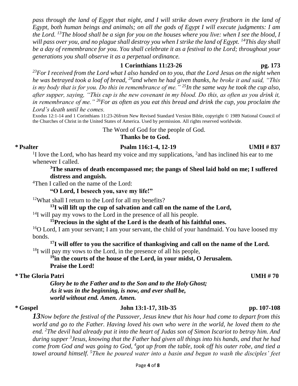*pass through the land of Egypt that night, and I will strike down every firstborn in the land of Egypt, both human beings and animals; on all the gods of Egypt I will execute judgments: I am the Lord. <sup>13</sup>The blood shall be a sign for you on the houses where you live: when I see the blood, I will pass over you, and no plague shall destroy you when I strike the land of Egypt. <sup>14</sup>This day shall be a day of remembrance for you. You shall celebrate it as a festival to the Lord; throughout your generations you shall observe it as a perpetual ordinance.*

### **1 Corinthians 11:23-26 pg. 173**

*<sup>23</sup>For I received from the Lord what I also handed on to you, that the Lord Jesus on the night when he was betrayed took a loaf of bread, <sup>24</sup>and when he had given thanks, he broke it and said, "This is my body that is for you. Do this in remembrance of me." <sup>25</sup>In the same way he took the cup also, after supper, saying, "This cup is the new covenant in my blood. Do this, as often as you drink it, in remembrance of me." <sup>26</sup>For as often as you eat this bread and drink the cup, you proclaim the Lord's death until he comes.*

Exodus 12:1-14 and 1 Corinthians 11:23-26from New Revised Standard Version Bible, copyright © 1989 National Council of the Churches of Christ in the United States of America. Used by permission. All rights reserved worldwide.

The Word of God for the people of God.

#### **Thanks be to God.**

### **\* Psalter Psalm 116:1-4, 12-19 UMH # 837**

<sup>1</sup>I love the Lord, who has heard my voice and my supplications, <sup>2</sup> and has inclined his ear to me

## **<sup>3</sup>The snares of death encompassed me; the pangs of Sheol laid hold on me; I suffered distress and anguish.**

<sup>4</sup>Then I called on the name of the Lord:

whenever I called.

**"O Lord, I beseech you, save my life!"**

<sup>12</sup>What shall I return to the Lord for all my benefits?

**<sup>13</sup>I will lift up the cup of salvation and call on the name of the Lord,**

 $14$ I will pay my vows to the Lord in the presence of all his people.

### **<sup>15</sup>Precious in the sight of the Lord is the death of his faithful ones.**

 $16$ O Lord, I am your servant; I am your servant, the child of your handmaid. You have loosed my bonds.

# **<sup>17</sup>I will offer to you the sacrifice of thanksgiving and call on the name of the Lord.**

 $^{18}$ I will pay my vows to the Lord, in the presence of all his people,

## **<sup>19</sup>in the courts of the house of the Lord, in your midst, O Jerusalem. Praise the Lord!**

### **\* The Gloria Patri UMH # 70**

*Glory be to the Father and to the Son and to the Holy Ghost; As it was in the beginning, is now, and ever shall be, world without end. Amen. Amen.*

### **\* Gospel John 13:1-17, 31b-35 pp. 107-108**

*13Now before the festival of the Passover, Jesus knew that his hour had come to depart from this world and go to the Father. Having loved his own who were in the world, he loved them to the end. <sup>2</sup>The devil had already put it into the heart of Judas son of Simon Iscariot to betray him. And during supper <sup>3</sup> Jesus, knowing that the Father had given all things into his hands, and that he had come from God and was going to God, <sup>4</sup>got up from the table, took off his outer robe, and tied a towel around himself. <sup>5</sup>Then he poured water into a basin and began to wash the disciples' feet*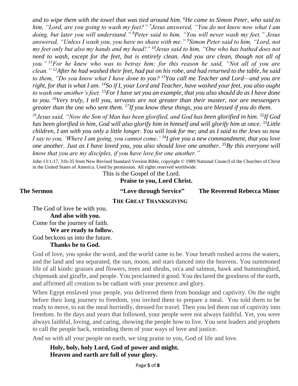*and to wipe them with the towel that was tied around him. <sup>6</sup>He came to Simon Peter, who said to him, "Lord, are you going to wash my feet?" <sup>7</sup> Jesus answered, "You do not know now what I am doing, but later you will understand." <sup>8</sup>Peter said to him, "You will never wash my feet." Jesus answered, "Unless I wash you, you have no share with me." <sup>9</sup>Simon Peter said to him, "Lord, not my feet only but also my hands and my head!" <sup>10</sup>Jesus said to him, "One who has bathed does not need to wash, except for the feet, but is entirely clean. And you are clean, though not all of you." <sup>11</sup>For he knew who was to betray him; for this reason he said, "Not all of you are clean." <sup>12</sup>After he had washed their feet, had put on his robe, and had returned to the table, he said to them, "Do you know what I have done to you? <sup>13</sup>You call me Teacher and Lord—and you are right, for that is what I am. <sup>14</sup>So if I, your Lord and Teacher, have washed your feet, you also ought to wash one another's feet. <sup>15</sup>For I have set you an example, that you also should do as I have done to you. <sup>16</sup>Very truly, I tell you, servants are not greater than their master, nor are messengers greater than the one who sent them. <sup>17</sup>If you know these things, you are blessed if you do them.*

*<sup>31</sup>Jesus said, "Now the Son of Man has been glorified, and God has been glorified in him. <sup>32</sup>If God has been glorified in him, God will also glorify him in himself and will glorify him at once. <sup>33</sup>Little children, I am with you only a little longer. You will look for me; and as I said to the Jews so now I say to you, 'Where I am going, you cannot come.' <sup>34</sup>I give you a new commandment, that you love one another. Just as I have loved you, you also should love one another. <sup>35</sup>By this everyone will know that you are my disciples, if you have love for one another."*

John 13:1-17, 31b-35 from New Revised Standard Version Bible, copyright © 1989 National Council of the Churches of Christ in the United States of America. Used by permission. All rights reserved worldwide.

This is the Gospel of the Lord.

**Praise to you, Lord Christ.**

**The Sermon "Love through Service" The Reverend Rebecca Minor**

**THE GREAT THANKSGIVING**

The God of love be with you. **And also with you.** Come for the journey of faith. **We are ready to follow.** God beckons us into the future. **Thanks be to God.**

God of love, you spoke the word, and the world came to be. Your breath rushed across the waters, and the land and sea separated, the sun, moon, and stars danced into the heavens. You summoned life of all kinds: grasses and flowers, trees and shrubs, orca and salmon, hawk and hummingbird, chipmunk and giraffe, and people. You proclaimed it good. You declared the goodness of the earth, and affirmed all creation to be radiant with your presence and glory.

When Egypt enslaved your people, you delivered them from bondage and captivity. On the night before their long journey to freedom, you invited them to prepare a meal. You told them to be ready to move, to eat the meal hurriedly, dressed for travel. Then you led them out of captivity into freedom. In the days and years that followed, your people were not always faithful. Yet, you were always faithful, loving, and caring, showing the people how to live. You sent leaders and prophets to call the people back, reminding them of your ways of love and justice.

And so with all your people on earth, we sing praise to you, God of life and love.

**Holy, holy, holy Lord, God of power and might. Heaven and earth are full of your glory.**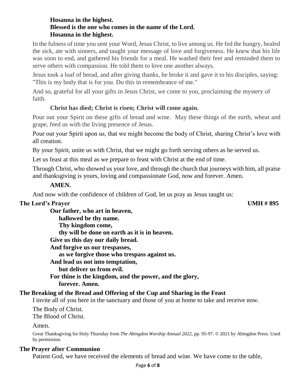## **Hosanna in the highest. Blessed is the one who comes in the name of the Lord. Hosanna in the highest.**

In the fulness of time you sent your Word, Jesus Christ, to live among us. He fed the hungry, healed the sick, ate with sinners, and taught your message of love and forgiveness. He knew that his life was soon to end, and gathered his friends for a meal. He washed their feet and reminded them to serve others with compassion. He told them to love one another always.

Jesus took a loaf of bread, and after giving thanks, he broke it and gave it to his disciples, saying: "This is my body that is for you. Do this in remembrance of me."

And so, grateful for all your gifts in Jesus Christ, we come to you, proclaiming the mystery of faith.

# **Christ has died; Christ is risen; Christ will come again.**

Pour out your Spirit on these gifts of bread and wine. May these things of the earth, wheat and grape, feed us with the living presence of Jesus.

Pour out your Spirit upon us, that we might become the body of Christ, sharing Christ's love with all creation.

By your Spirit, unite us with Christ, that we might go forth serving others as he served us.

Let us feast at this meal as we prepare to feast with Christ at the end of time.

Through Christ, who showed us your love, and through the church that journeys with him, all praise and thanksgiving is yours, loving and compassionate God, now and forever. Amen.

# **AMEN.**

And now with the confidence of children of God, let us pray as Jesus taught us:

# **The Lord's Prayer UMH # 895**

**Our father, who art in heaven,** 

**hallowed be thy name. Thy kingdom come, thy will be done on earth as it is in heaven. Give us this day our daily bread.** 

**And forgive us our trespasses,**

**as we forgive those who trespass against us.**

# **And lead us not into temptation,**

**but deliver us from evil.**

**For thine is the kingdom, and the power, and the glory, forever. Amen.**

# **The Breaking of the Bread and Offering of the Cup and Sharing in the Feast**

I invite all of you here in the sanctuary and those of you at home to take and receive now.

The Body of Christ.

The Blood of Christ.

Amen.

Great Thanksgiving for Holy Thursday from *The Abingdon Worship Annual 2022,* pp. 95-97. © 2021 by Abingdon Press. Used by permission.

# **The Prayer after Communion**

Patient God, we have received the elements of bread and wine. We have come to the table,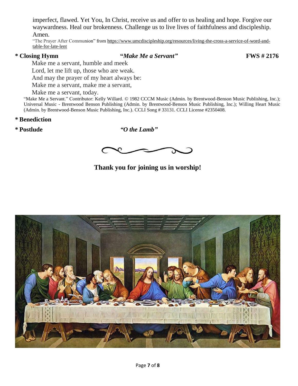imperfect, flawed. Yet You, In Christ, receive us and offer to us healing and hope. Forgive our waywardness. Heal our brokenness. Challenge us to live lives of faithfulness and discipleship. Amen.

"The Prayer After Communion" from [https://www.umcdiscipleship.org/resources/living-the-cross-a-service-of-word-and](https://www.umcdiscipleship.org/resources/living-the-cross-a-service-of-word-and-table-for-late-lent)[table-for-late-lent](https://www.umcdiscipleship.org/resources/living-the-cross-a-service-of-word-and-table-for-late-lent)

# **\* Closing Hymn "***Make Me a Servant"* **FWS # 2176**

Make me a servant, humble and meek

Lord, let me lift up, those who are weak.

And may the prayer of my heart always be:

Make me a servant, make me a servant,

Make me a servant, today.

"Make Me a Servant." Contributor: Kelly Willard. © 1982 CCCM Music (Admin. by Brentwood-Benson Music Publishing, Inc.); Universal Music - Brentwood Benson Publishing (Admin. by Brentwood-Benson Music Publishing, Inc.); Willing Heart Music (Admin. by Brentwood-Benson Music Publishing, Inc.). CCLI Song # 33131. CCLI License #2350408.

### **\* Benediction**

**\* Postlude** *"O the Lamb"* 

**Thank you for joining us in worship!**